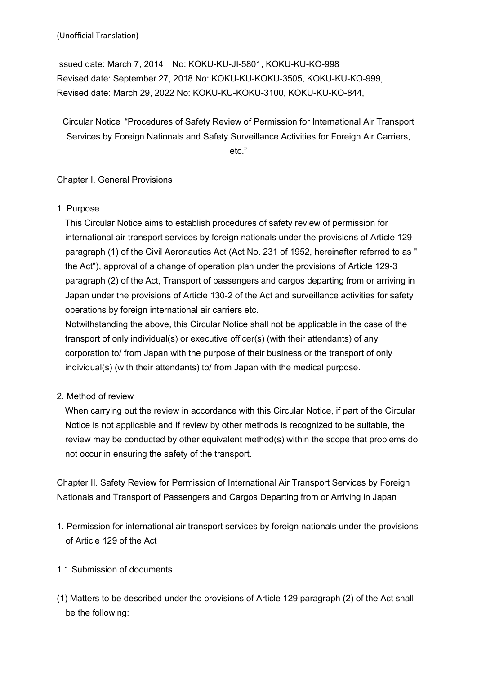Issued date: March 7, 2014 No: KOKU-KU-JI-5801, KOKU-KU-KO-998 Revised date: September 27, 2018 No: KOKU-KU-KOKU-3505, KOKU-KU-KO-999, Revised date: March 29, 2022 No: KOKU-KU-KOKU-3100, KOKU-KU-KO-844,

Circular Notice "Procedures of Safety Review of Permission for International Air Transport Services by Foreign Nationals and Safety Surveillance Activities for Foreign Air Carriers, etc."

## Chapter I. General Provisions

1. Purpose

This Circular Notice aims to establish procedures of safety review of permission for international air transport services by foreign nationals under the provisions of Article 129 paragraph (1) of the Civil Aeronautics Act (Act No. 231 of 1952, hereinafter referred to as " the Act"), approval of a change of operation plan under the provisions of Article 129-3 paragraph (2) of the Act, Transport of passengers and cargos departing from or arriving in Japan under the provisions of Article 130-2 of the Act and surveillance activities for safety operations by foreign international air carriers etc.

Notwithstanding the above, this Circular Notice shall not be applicable in the case of the transport of only individual(s) or executive officer(s) (with their attendants) of any corporation to/ from Japan with the purpose of their business or the transport of only individual(s) (with their attendants) to/ from Japan with the medical purpose.

2. Method of review

When carrying out the review in accordance with this Circular Notice, if part of the Circular Notice is not applicable and if review by other methods is recognized to be suitable, the review may be conducted by other equivalent method(s) within the scope that problems do not occur in ensuring the safety of the transport.

Chapter II. Safety Review for Permission of International Air Transport Services by Foreign Nationals and Transport of Passengers and Cargos Departing from or Arriving in Japan

- 1. Permission for international air transport services by foreign nationals under the provisions of Article 129 of the Act
- 1.1 Submission of documents
- (1) Matters to be described under the provisions of Article 129 paragraph (2) of the Act shall be the following: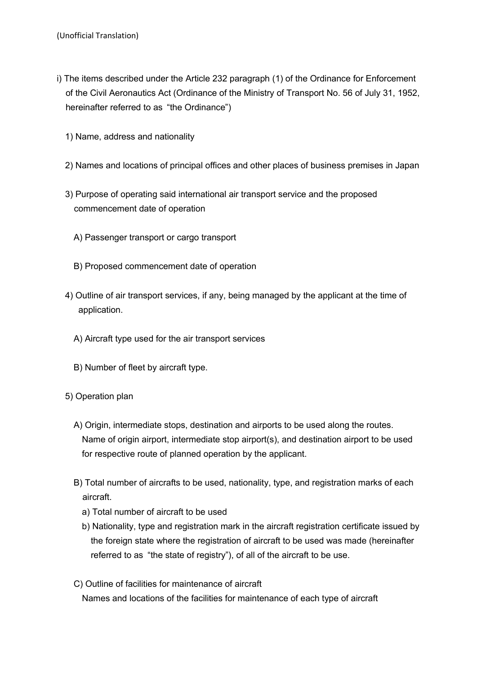- i) The items described under the Article 232 paragraph (1) of the Ordinance for Enforcement of the Civil Aeronautics Act (Ordinance of the Ministry of Transport No. 56 of July 31, 1952, hereinafter referred to as "the Ordinance")
	- 1) Name, address and nationality
	- 2) Names and locations of principal offices and other places of business premises in Japan
	- 3) Purpose of operating said international air transport service and the proposed commencement date of operation
		- A) Passenger transport or cargo transport
		- B) Proposed commencement date of operation
	- 4) Outline of air transport services, if any, being managed by the applicant at the time of application.
		- A) Aircraft type used for the air transport services
		- B) Number of fleet by aircraft type.
	- 5) Operation plan
		- A) Origin, intermediate stops, destination and airports to be used along the routes. Name of origin airport, intermediate stop airport(s), and destination airport to be used for respective route of planned operation by the applicant.
		- B) Total number of aircrafts to be used, nationality, type, and registration marks of each aircraft.
			- a) Total number of aircraft to be used
			- b) Nationality, type and registration mark in the aircraft registration certificate issued by the foreign state where the registration of aircraft to be used was made (hereinafter referred to as "the state of registry"), of all of the aircraft to be use.
		- C) Outline of facilities for maintenance of aircraft

Names and locations of the facilities for maintenance of each type of aircraft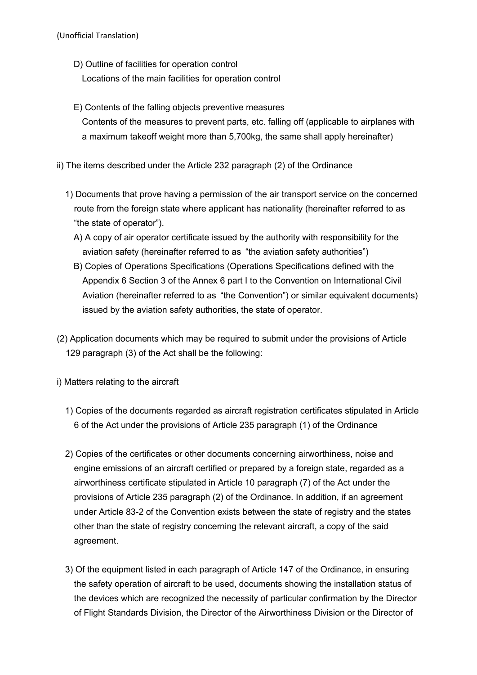- D) Outline of facilities for operation control
	- Locations of the main facilities for operation control
- E) Contents of the falling objects preventive measures Contents of the measures to prevent parts, etc. falling off (applicable to airplanes with a maximum takeoff weight more than 5,700kg, the same shall apply hereinafter)
- ii) The items described under the Article 232 paragraph (2) of the Ordinance
	- 1) Documents that prove having a permission of the air transport service on the concerned route from the foreign state where applicant has nationality (hereinafter referred to as "the state of operator").
		- A) A copy of air operator certificate issued by the authority with responsibility for the aviation safety (hereinafter referred to as "the aviation safety authorities")
		- B) Copies of Operations Specifications (Operations Specifications defined with the Appendix 6 Section 3 of the Annex 6 part I to the Convention on International Civil Aviation (hereinafter referred to as "the Convention") or similar equivalent documents) issued by the aviation safety authorities, the state of operator.
- (2) Application documents which may be required to submit under the provisions of Article 129 paragraph (3) of the Act shall be the following:
- i) Matters relating to the aircraft
	- 1) Copies of the documents regarded as aircraft registration certificates stipulated in Article 6 of the Act under the provisions of Article 235 paragraph (1) of the Ordinance
	- 2) Copies of the certificates or other documents concerning airworthiness, noise and engine emissions of an aircraft certified or prepared by a foreign state, regarded as a airworthiness certificate stipulated in Article 10 paragraph (7) of the Act under the provisions of Article 235 paragraph (2) of the Ordinance. In addition, if an agreement under Article 83-2 of the Convention exists between the state of registry and the states other than the state of registry concerning the relevant aircraft, a copy of the said agreement.
	- 3) Of the equipment listed in each paragraph of Article 147 of the Ordinance, in ensuring the safety operation of aircraft to be used, documents showing the installation status of the devices which are recognized the necessity of particular confirmation by the Director of Flight Standards Division, the Director of the Airworthiness Division or the Director of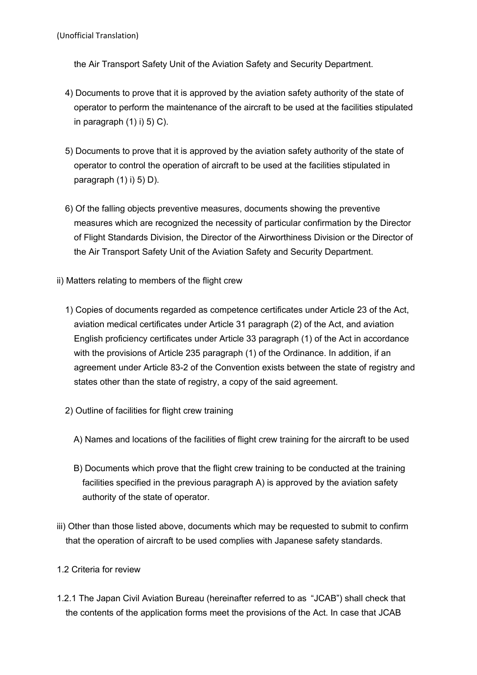the Air Transport Safety Unit of the Aviation Safety and Security Department.

- 4) Documents to prove that it is approved by the aviation safety authority of the state of operator to perform the maintenance of the aircraft to be used at the facilities stipulated in paragraph  $(1)$  i) 5) C).
- 5) Documents to prove that it is approved by the aviation safety authority of the state of operator to control the operation of aircraft to be used at the facilities stipulated in paragraph  $(1)$  i) 5) D).
- 6) Of the falling objects preventive measures, documents showing the preventive measures which are recognized the necessity of particular confirmation by the Director of Flight Standards Division, the Director of the Airworthiness Division or the Director of the Air Transport Safety Unit of the Aviation Safety and Security Department.
- ii) Matters relating to members of the flight crew
	- 1) Copies of documents regarded as competence certificates under Article 23 of the Act, aviation medical certificates under Article 31 paragraph (2) of the Act, and aviation English proficiency certificates under Article 33 paragraph (1) of the Act in accordance with the provisions of Article 235 paragraph (1) of the Ordinance. In addition, if an agreement under Article 83-2 of the Convention exists between the state of registry and states other than the state of registry, a copy of the said agreement.
	- 2) Outline of facilities for flight crew training
		- A) Names and locations of the facilities of flight crew training for the aircraft to be used
		- B) Documents which prove that the flight crew training to be conducted at the training facilities specified in the previous paragraph A) is approved by the aviation safety authority of the state of operator.
- iii) Other than those listed above, documents which may be requested to submit to confirm that the operation of aircraft to be used complies with Japanese safety standards.
- 1.2 Criteria for review
- 1.2.1 The Japan Civil Aviation Bureau (hereinafter referred to as "JCAB") shall check that the contents of the application forms meet the provisions of the Act. In case that JCAB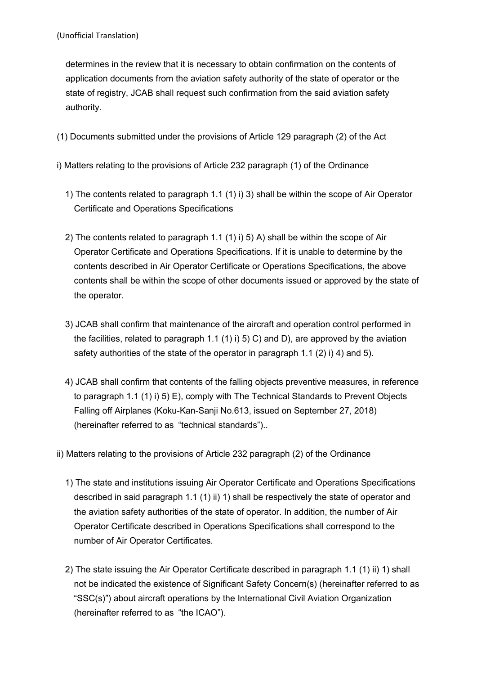determines in the review that it is necessary to obtain confirmation on the contents of application documents from the aviation safety authority of the state of operator or the state of registry, JCAB shall request such confirmation from the said aviation safety authority.

- (1) Documents submitted under the provisions of Article 129 paragraph (2) of the Act
- i) Matters relating to the provisions of Article 232 paragraph (1) of the Ordinance
	- 1) The contents related to paragraph 1.1 (1) i) 3) shall be within the scope of Air Operator Certificate and Operations Specifications
	- 2) The contents related to paragraph 1.1 (1) i) 5) A) shall be within the scope of Air Operator Certificate and Operations Specifications. If it is unable to determine by the contents described in Air Operator Certificate or Operations Specifications, the above contents shall be within the scope of other documents issued or approved by the state of the operator.
	- 3) JCAB shall confirm that maintenance of the aircraft and operation control performed in the facilities, related to paragraph 1.1 (1) i) 5) C) and D), are approved by the aviation safety authorities of the state of the operator in paragraph 1.1 (2) i) 4) and 5).
	- 4) JCAB shall confirm that contents of the falling objects preventive measures, in reference to paragraph 1.1 (1) i) 5) E), comply with The Technical Standards to Prevent Objects Falling off Airplanes (Koku-Kan-Sanji No.613, issued on September 27, 2018) (hereinafter referred to as "technical standards")..
- ii) Matters relating to the provisions of Article 232 paragraph (2) of the Ordinance
	- 1) The state and institutions issuing Air Operator Certificate and Operations Specifications described in said paragraph 1.1 (1) ii) 1) shall be respectively the state of operator and the aviation safety authorities of the state of operator. In addition, the number of Air Operator Certificate described in Operations Specifications shall correspond to the number of Air Operator Certificates.
	- 2) The state issuing the Air Operator Certificate described in paragraph 1.1 (1) ii) 1) shall not be indicated the existence of Significant Safety Concern(s) (hereinafter referred to as "SSC(s)") about aircraft operations by the International Civil Aviation Organization (hereinafter referred to as "the ICAO").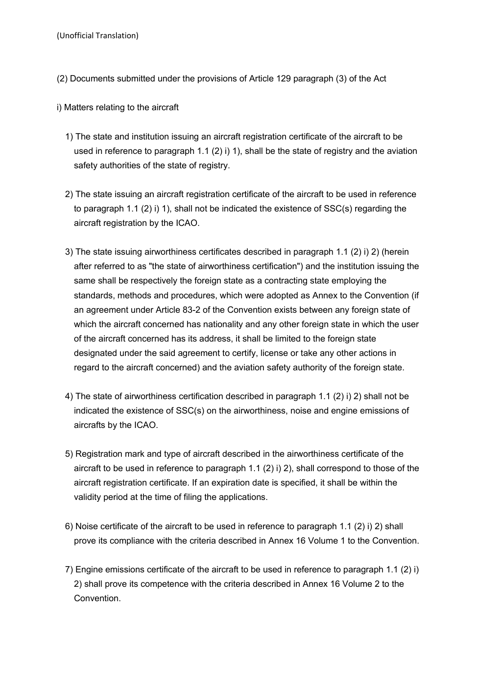- (2) Documents submitted under the provisions of Article 129 paragraph (3) of the Act
- i) Matters relating to the aircraft
	- 1) The state and institution issuing an aircraft registration certificate of the aircraft to be used in reference to paragraph 1.1 (2) i) 1), shall be the state of registry and the aviation safety authorities of the state of registry.
	- 2) The state issuing an aircraft registration certificate of the aircraft to be used in reference to paragraph 1.1 (2) i) 1), shall not be indicated the existence of SSC(s) regarding the aircraft registration by the ICAO.
	- 3) The state issuing airworthiness certificates described in paragraph 1.1 (2) i) 2) (herein after referred to as "the state of airworthiness certification") and the institution issuing the same shall be respectively the foreign state as a contracting state employing the standards, methods and procedures, which were adopted as Annex to the Convention (if an agreement under Article 83-2 of the Convention exists between any foreign state of which the aircraft concerned has nationality and any other foreign state in which the user of the aircraft concerned has its address, it shall be limited to the foreign state designated under the said agreement to certify, license or take any other actions in regard to the aircraft concerned) and the aviation safety authority of the foreign state.
	- 4) The state of airworthiness certification described in paragraph 1.1 (2) i) 2) shall not be indicated the existence of SSC(s) on the airworthiness, noise and engine emissions of aircrafts by the ICAO.
	- 5) Registration mark and type of aircraft described in the airworthiness certificate of the aircraft to be used in reference to paragraph 1.1 (2) i) 2), shall correspond to those of the aircraft registration certificate. If an expiration date is specified, it shall be within the validity period at the time of filing the applications.
	- 6) Noise certificate of the aircraft to be used in reference to paragraph 1.1 (2) i) 2) shall prove its compliance with the criteria described in Annex 16 Volume 1 to the Convention.
	- 7) Engine emissions certificate of the aircraft to be used in reference to paragraph 1.1 (2) i) 2) shall prove its competence with the criteria described in Annex 16 Volume 2 to the Convention.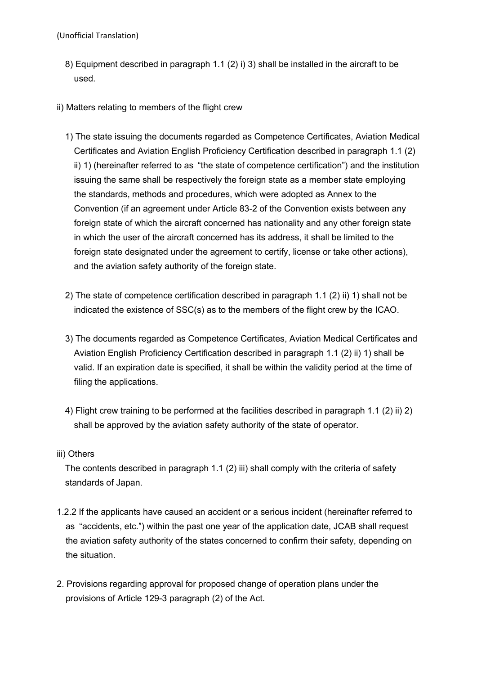- 8) Equipment described in paragraph 1.1 (2) i) 3) shall be installed in the aircraft to be used.
- ii) Matters relating to members of the flight crew
	- 1) The state issuing the documents regarded as Competence Certificates, Aviation Medical Certificates and Aviation English Proficiency Certification described in paragraph 1.1 (2) ii) 1) (hereinafter referred to as "the state of competence certification") and the institution issuing the same shall be respectively the foreign state as a member state employing the standards, methods and procedures, which were adopted as Annex to the Convention (if an agreement under Article 83-2 of the Convention exists between any foreign state of which the aircraft concerned has nationality and any other foreign state in which the user of the aircraft concerned has its address, it shall be limited to the foreign state designated under the agreement to certify, license or take other actions). and the aviation safety authority of the foreign state.
	- 2) The state of competence certification described in paragraph 1.1 (2) ii) 1) shall not be indicated the existence of SSC(s) as to the members of the flight crew by the ICAO.
	- 3) The documents regarded as Competence Certificates, Aviation Medical Certificates and Aviation English Proficiency Certification described in paragraph 1.1 (2) ii) 1) shall be valid. If an expiration date is specified, it shall be within the validity period at the time of filing the applications.
	- 4) Flight crew training to be performed at the facilities described in paragraph 1.1 (2) ii) 2) shall be approved by the aviation safety authority of the state of operator.

## iii) Others

The contents described in paragraph 1.1 (2) iii) shall comply with the criteria of safety standards of Japan.

- 1.2.2 If the applicants have caused an accident or a serious incident (hereinafter referred to as "accidents, etc.") within the past one year of the application date, JCAB shall request the aviation safety authority of the states concerned to confirm their safety, depending on the situation.
- 2. Provisions regarding approval for proposed change of operation plans under the provisions of Article 129-3 paragraph (2) of the Act.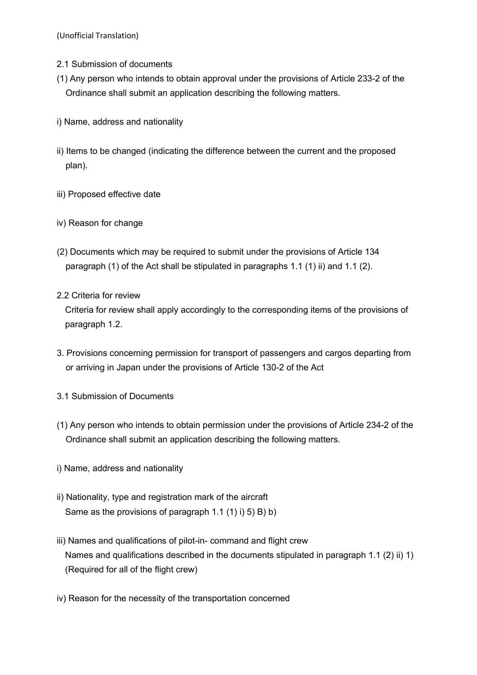- 2.1 Submission of documents
- (1) Any person who intends to obtain approval under the provisions of Article 233-2 of the Ordinance shall submit an application describing the following matters.
- i) Name, address and nationality
- ii) Items to be changed (indicating the difference between the current and the proposed plan).
- iii) Proposed effective date
- iv) Reason for change
- (2) Documents which may be required to submit under the provisions of Article 134 paragraph (1) of the Act shall be stipulated in paragraphs 1.1 (1) ii) and 1.1 (2).
- 2.2 Criteria for review

Criteria for review shall apply accordingly to the corresponding items of the provisions of paragraph 1.2.

- 3. Provisions concerning permission for transport of passengers and cargos departing from or arriving in Japan under the provisions of Article 130-2 of the Act
- 3.1 Submission of Documents
- (1) Any person who intends to obtain permission under the provisions of Article 234-2 of the Ordinance shall submit an application describing the following matters.
- i) Name, address and nationality
- ii) Nationality, type and registration mark of the aircraft Same as the provisions of paragraph 1.1 (1) i) 5) B) b)
- iii) Names and qualifications of pilot-in- command and flight crew Names and qualifications described in the documents stipulated in paragraph 1.1 (2) ii) 1) (Required for all of the flight crew)
- iv) Reason for the necessity of the transportation concerned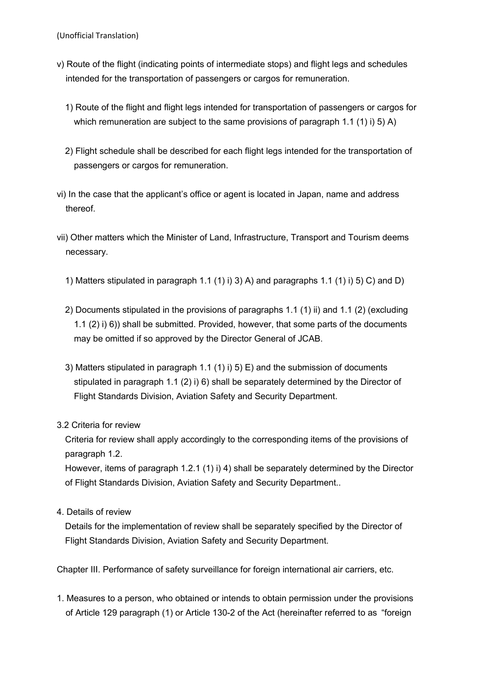- v) Route of the flight (indicating points of intermediate stops) and flight legs and schedules intended for the transportation of passengers or cargos for remuneration.
	- 1) Route of the flight and flight legs intended for transportation of passengers or cargos for which remuneration are subject to the same provisions of paragraph 1.1 (1) i) 5) A)
	- 2) Flight schedule shall be described for each flight legs intended for the transportation of passengers or cargos for remuneration.
- vi) In the case that the applicant's office or agent is located in Japan, name and address thereof.
- vii) Other matters which the Minister of Land, Infrastructure, Transport and Tourism deems necessary.
	- 1) Matters stipulated in paragraph 1.1 (1) i) 3) A) and paragraphs 1.1 (1) i) 5) C) and D)
	- 2) Documents stipulated in the provisions of paragraphs 1.1 (1) ii) and 1.1 (2) (excluding 1.1 (2) i) 6)) shall be submitted. Provided, however, that some parts of the documents may be omitted if so approved by the Director General of JCAB.
	- 3) Matters stipulated in paragraph 1.1 (1) i) 5) E) and the submission of documents stipulated in paragraph 1.1 (2) i) 6) shall be separately determined by the Director of Flight Standards Division, Aviation Safety and Security Department.

## 3.2 Criteria for review

Criteria for review shall apply accordingly to the corresponding items of the provisions of paragraph 1.2.

However, items of paragraph 1.2.1 (1) i) 4) shall be separately determined by the Director of Flight Standards Division, Aviation Safety and Security Department..

4. Details of review

Details for the implementation of review shall be separately specified by the Director of Flight Standards Division, Aviation Safety and Security Department.

Chapter III. Performance of safety surveillance for foreign international air carriers, etc.

1. Measures to a person, who obtained or intends to obtain permission under the provisions of Article 129 paragraph (1) or Article 130-2 of the Act (hereinafter referred to as "foreign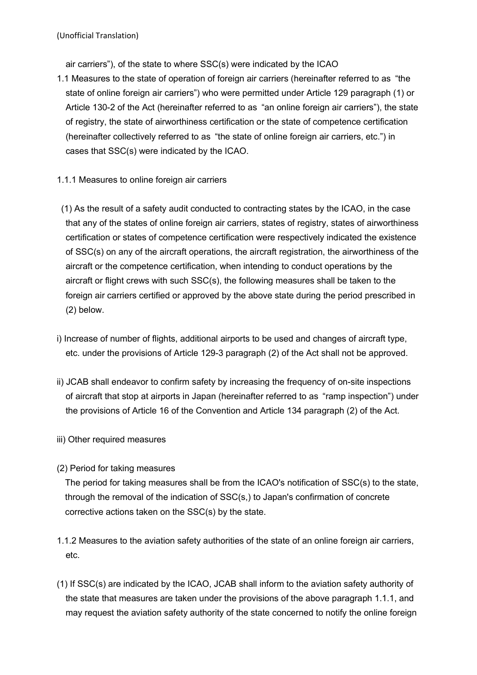air carriers"), of the state to where SSC(s) were indicated by the ICAO

- 1.1 Measures to the state of operation of foreign air carriers (hereinafter referred to as "the state of online foreign air carriers") who were permitted under Article 129 paragraph (1) or Article 130-2 of the Act (hereinafter referred to as "an online foreign air carriers"), the state of registry, the state of airworthiness certification or the state of competence certification (hereinafter collectively referred to as "the state of online foreign air carriers, etc.") in cases that SSC(s) were indicated by the ICAO.
- 1.1.1 Measures to online foreign air carriers
- (1) As the result of a safety audit conducted to contracting states by the ICAO, in the case that any of the states of online foreign air carriers, states of registry, states of airworthiness certification or states of competence certification were respectively indicated the existence of SSC(s) on any of the aircraft operations, the aircraft registration, the airworthiness of the aircraft or the competence certification, when intending to conduct operations by the aircraft or flight crews with such SSC(s), the following measures shall be taken to the foreign air carriers certified or approved by the above state during the period prescribed in (2) below.
- i) Increase of number of flights, additional airports to be used and changes of aircraft type, etc. under the provisions of Article 129-3 paragraph (2) of the Act shall not be approved.
- ii) JCAB shall endeavor to confirm safety by increasing the frequency of on-site inspections of aircraft that stop at airports in Japan (hereinafter referred to as "ramp inspection") under the provisions of Article 16 of the Convention and Article 134 paragraph (2) of the Act.
- iii) Other required measures
- (2) Period for taking measures

The period for taking measures shall be from the ICAO's notification of SSC(s) to the state, through the removal of the indication of SSC(s,) to Japan's confirmation of concrete corrective actions taken on the SSC(s) by the state.

- 1.1.2 Measures to the aviation safety authorities of the state of an online foreign air carriers, etc.
- (1) If SSC(s) are indicated by the ICAO, JCAB shall inform to the aviation safety authority of the state that measures are taken under the provisions of the above paragraph 1.1.1, and may request the aviation safety authority of the state concerned to notify the online foreign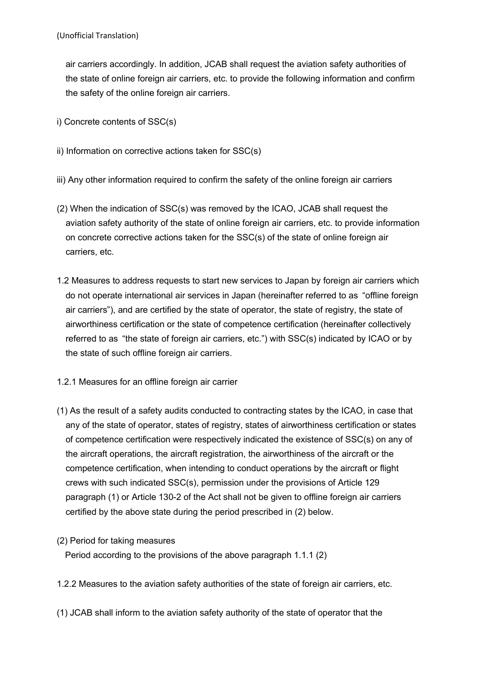air carriers accordingly. In addition, JCAB shall request the aviation safety authorities of the state of online foreign air carriers, etc. to provide the following information and confirm the safety of the online foreign air carriers.

- i) Concrete contents of SSC(s)
- ii) Information on corrective actions taken for SSC(s)
- iii) Any other information required to confirm the safety of the online foreign air carriers
- (2) When the indication of SSC(s) was removed by the ICAO, JCAB shall request the aviation safety authority of the state of online foreign air carriers, etc. to provide information on concrete corrective actions taken for the SSC(s) of the state of online foreign air carriers, etc.
- 1.2 Measures to address requests to start new services to Japan by foreign air carriers which do not operate international air services in Japan (hereinafter referred to as "offline foreign air carriers"), and are certified by the state of operator, the state of registry, the state of airworthiness certification or the state of competence certification (hereinafter collectively referred to as "the state of foreign air carriers, etc.") with SSC(s) indicated by ICAO or by the state of such offline foreign air carriers.
- 1.2.1 Measures for an offline foreign air carrier
- (1) As the result of a safety audits conducted to contracting states by the ICAO, in case that any of the state of operator, states of registry, states of airworthiness certification or states of competence certification were respectively indicated the existence of SSC(s) on any of the aircraft operations, the aircraft registration, the airworthiness of the aircraft or the competence certification, when intending to conduct operations by the aircraft or flight crews with such indicated SSC(s), permission under the provisions of Article 129 paragraph (1) or Article 130-2 of the Act shall not be given to offline foreign air carriers certified by the above state during the period prescribed in (2) below.
- (2) Period for taking measures

Period according to the provisions of the above paragraph 1.1.1 (2)

- 1.2.2 Measures to the aviation safety authorities of the state of foreign air carriers, etc.
- (1) JCAB shall inform to the aviation safety authority of the state of operator that the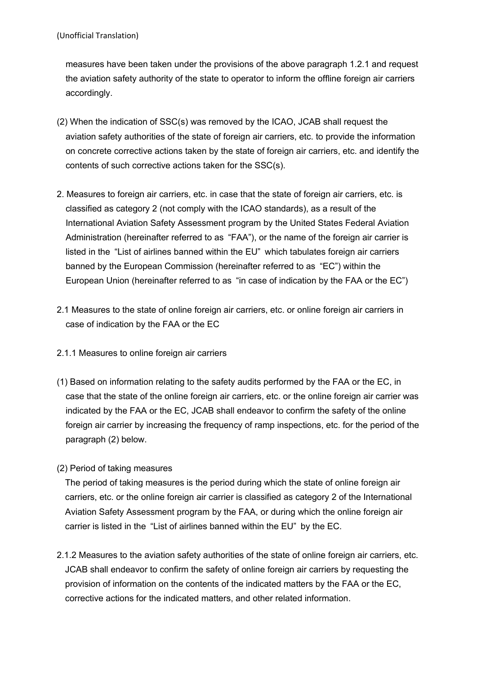measures have been taken under the provisions of the above paragraph 1.2.1 and request the aviation safety authority of the state to operator to inform the offline foreign air carriers accordingly.

- (2) When the indication of SSC(s) was removed by the ICAO, JCAB shall request the aviation safety authorities of the state of foreign air carriers, etc. to provide the information on concrete corrective actions taken by the state of foreign air carriers, etc. and identify the contents of such corrective actions taken for the SSC(s).
- 2. Measures to foreign air carriers, etc. in case that the state of foreign air carriers, etc. is classified as category 2 (not comply with the ICAO standards), as a result of the International Aviation Safety Assessment program by the United States Federal Aviation Administration (hereinafter referred to as "FAA"), or the name of the foreign air carrier is listed in the "List of airlines banned within the EU" which tabulates foreign air carriers banned by the European Commission (hereinafter referred to as "EC") within the European Union (hereinafter referred to as "in case of indication by the FAA or the EC")
- 2.1 Measures to the state of online foreign air carriers, etc. or online foreign air carriers in case of indication by the FAA or the EC
- 2.1.1 Measures to online foreign air carriers
- (1) Based on information relating to the safety audits performed by the FAA or the EC, in case that the state of the online foreign air carriers, etc. or the online foreign air carrier was indicated by the FAA or the EC, JCAB shall endeavor to confirm the safety of the online foreign air carrier by increasing the frequency of ramp inspections, etc. for the period of the paragraph (2) below.
- (2) Period of taking measures

The period of taking measures is the period during which the state of online foreign air carriers, etc. or the online foreign air carrier is classified as category 2 of the International Aviation Safety Assessment program by the FAA, or during which the online foreign air carrier is listed in the "List of airlines banned within the EU" by the EC.

2.1.2 Measures to the aviation safety authorities of the state of online foreign air carriers, etc. JCAB shall endeavor to confirm the safety of online foreign air carriers by requesting the provision of information on the contents of the indicated matters by the FAA or the EC, corrective actions for the indicated matters, and other related information.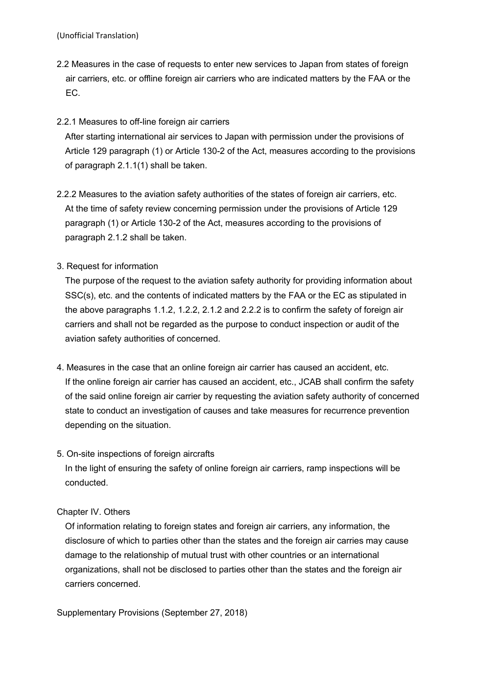- 2.2 Measures in the case of requests to enter new services to Japan from states of foreign air carriers, etc. or offline foreign air carriers who are indicated matters by the FAA or the EC.
- 2.2.1 Measures to off-line foreign air carriers

After starting international air services to Japan with permission under the provisions of Article 129 paragraph (1) or Article 130-2 of the Act, measures according to the provisions of paragraph 2.1.1(1) shall be taken.

- 2.2.2 Measures to the aviation safety authorities of the states of foreign air carriers, etc. At the time of safety review concerning permission under the provisions of Article 129 paragraph (1) or Article 130-2 of the Act, measures according to the provisions of paragraph 2.1.2 shall be taken.
- 3. Request for information

The purpose of the request to the aviation safety authority for providing information about SSC(s), etc. and the contents of indicated matters by the FAA or the EC as stipulated in the above paragraphs 1.1.2, 1.2.2, 2.1.2 and 2.2.2 is to confirm the safety of foreign air carriers and shall not be regarded as the purpose to conduct inspection or audit of the aviation safety authorities of concerned.

- 4. Measures in the case that an online foreign air carrier has caused an accident, etc. If the online foreign air carrier has caused an accident, etc., JCAB shall confirm the safety of the said online foreign air carrier by requesting the aviation safety authority of concerned state to conduct an investigation of causes and take measures for recurrence prevention depending on the situation.
- 5. On-site inspections of foreign aircrafts

In the light of ensuring the safety of online foreign air carriers, ramp inspections will be conducted.

## Chapter IV. Others

Of information relating to foreign states and foreign air carriers, any information, the disclosure of which to parties other than the states and the foreign air carries may cause damage to the relationship of mutual trust with other countries or an international organizations, shall not be disclosed to parties other than the states and the foreign air carriers concerned.

Supplementary Provisions (September 27, 2018)